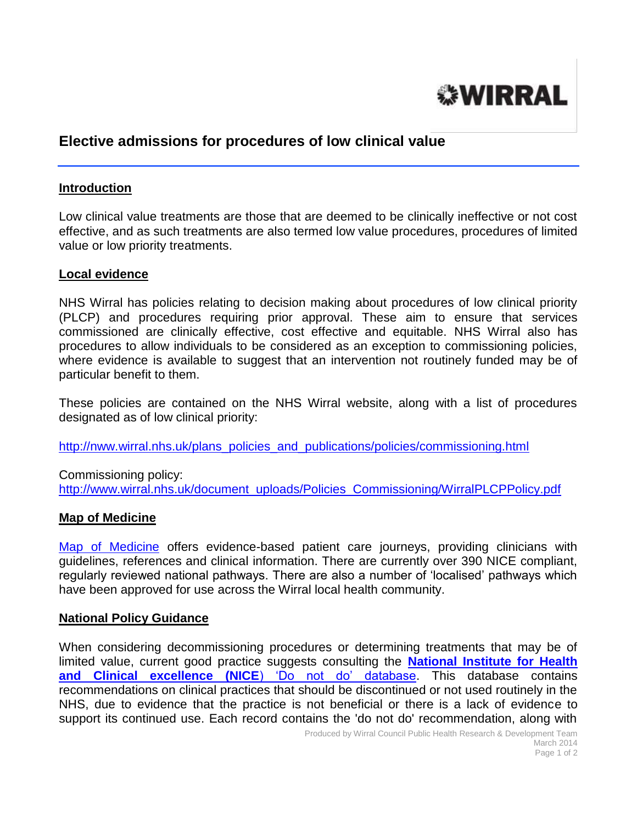

# **Elective admissions for procedures of low clinical value**

#### **Introduction**

Low clinical value treatments are those that are deemed to be clinically ineffective or not cost effective, and as such treatments are also termed low value procedures, procedures of limited value or low priority treatments.

#### **Local evidence**

NHS Wirral has policies relating to decision making about procedures of low clinical priority (PLCP) and procedures requiring prior approval. These aim to ensure that services commissioned are clinically effective, cost effective and equitable. NHS Wirral also has procedures to allow individuals to be considered as an exception to commissioning policies, where evidence is available to suggest that an intervention not routinely funded may be of particular benefit to them.

These policies are contained on the NHS Wirral website, along with a list of procedures designated as of low clinical priority:

[http://nww.wirral.nhs.uk/plans\\_policies\\_and\\_publications/policies/commissioning.html](http://nww.wirral.nhs.uk/plans_policies_and_publications/policies/commissioning.html)

Commissioning policy: [http://www.wirral.nhs.uk/document\\_uploads/Policies\\_Commissioning/WirralPLCPPolicy.pdf](http://www.wirral.nhs.uk/document_uploads/Policies_Commissioning/WirralPLCPPolicy.pdf)

### **Map of Medicine**

[Map of Medicine](http://www.mapofmedicine.com/) offers evidence-based patient care journeys, providing clinicians with guidelines, references and clinical information. There are currently over 390 NICE compliant, regularly reviewed national pathways. There are also a number of 'localised' pathways which have been approved for use across the Wirral local health community.

#### **National Policy Guidance**

When considering decommissioning procedures or determining treatments that may be of limited value, current good practice suggests consulting the **[National Institute for Health](http://www.nice.org.uk/usingguidance/donotdorecommendations/index.jsp)  [and Clinical excellence \(NICE](http://www.nice.org.uk/usingguidance/donotdorecommendations/index.jsp)**) 'Do not do' database. This database contains recommendations on clinical practices that should be discontinued or not used routinely in the NHS, due to evidence that the practice is not beneficial or there is a lack of evidence to support its continued use. Each record contains the 'do not do' recommendation, along with